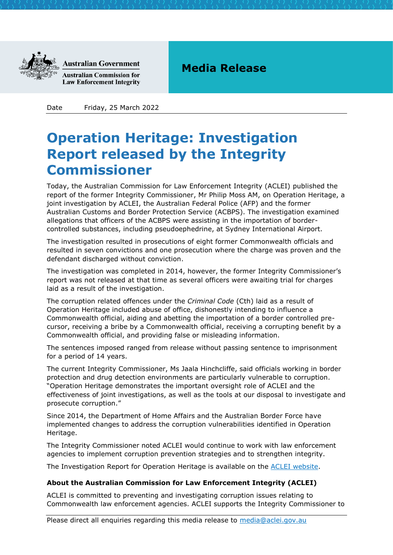

**Australian Government** 

**Australian Commission for Law Enforcement Integrity** 

## **Media Release**

Date Friday, 25 March 2022

## **Operation Heritage: Investigation Report released by the Integrity Commissioner**

Today, the Australian Commission for Law Enforcement Integrity (ACLEI) published the report of the former Integrity Commissioner, Mr Philip Moss AM, on Operation Heritage, a joint investigation by ACLEI, the Australian Federal Police (AFP) and the former Australian Customs and Border Protection Service (ACBPS). The investigation examined allegations that officers of the ACBPS were assisting in the importation of bordercontrolled substances, including pseudoephedrine, at Sydney International Airport.

The investigation resulted in prosecutions of eight former Commonwealth officials and resulted in seven convictions and one prosecution where the charge was proven and the defendant discharged without conviction.

The investigation was completed in 2014, however, the former Integrity Commissioner's report was not released at that time as several officers were awaiting trial for charges laid as a result of the investigation.

The corruption related offences under the *Criminal Code* (Cth) laid as a result of Operation Heritage included abuse of office, dishonestly intending to influence a Commonwealth official, aiding and abetting the importation of a border controlled precursor, receiving a bribe by a Commonwealth official, receiving a corrupting benefit by a Commonwealth official, and providing false or misleading information.

The sentences imposed ranged from release without passing sentence to imprisonment for a period of 14 years.

The current Integrity Commissioner, Ms Jaala Hinchcliffe, said officials working in border protection and drug detection environments are particularly vulnerable to corruption. "Operation Heritage demonstrates the important oversight role of ACLEI and the effectiveness of joint investigations, as well as the tools at our disposal to investigate and prosecute corruption."

Since 2014, the Department of Home Affairs and the Australian Border Force have implemented changes to address the corruption vulnerabilities identified in Operation Heritage.

The Integrity Commissioner noted ACLEI would continue to work with law enforcement agencies to implement corruption prevention strategies and to strengthen integrity.

The Investigation Report for Operation Heritage is available on the [ACLEI website.](https://www.aclei.gov.au/reports/investigation-reports)

## **About the Australian Commission for Law Enforcement Integrity (ACLEI)**

ACLEI is committed to preventing and investigating corruption issues relating to Commonwealth law enforcement agencies. ACLEI supports the Integrity Commissioner to